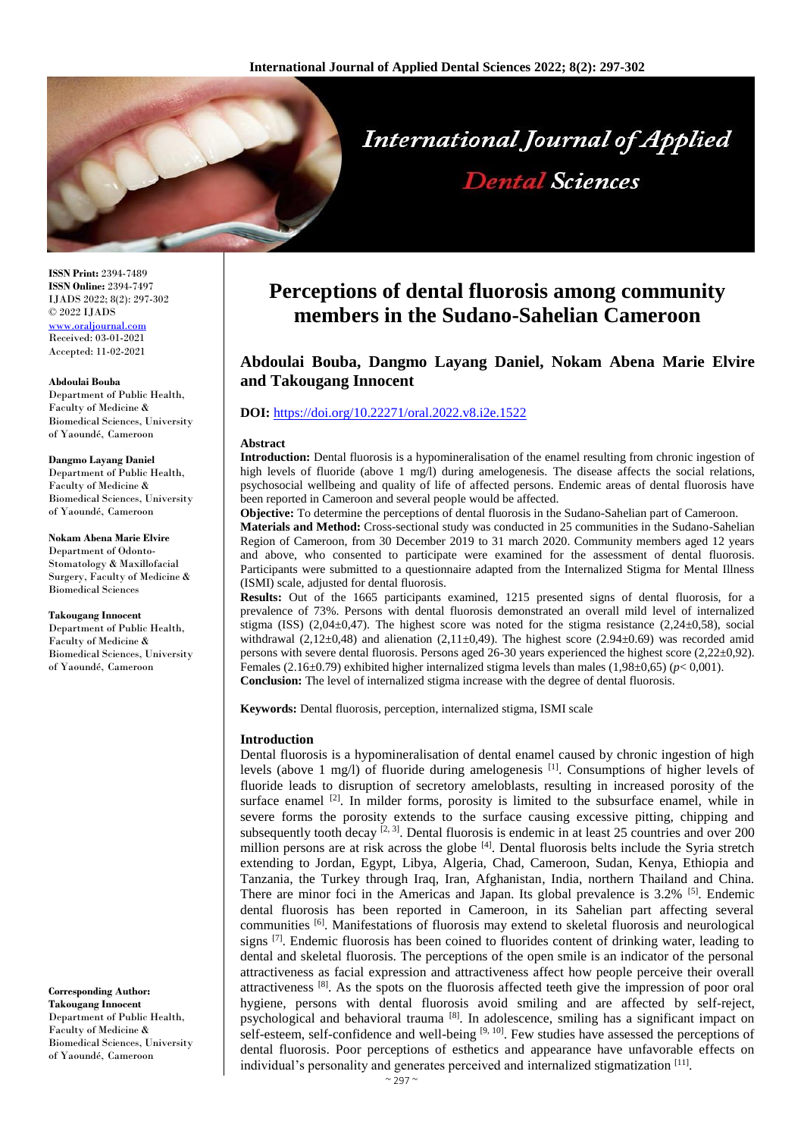

**ISSN Print:** 2394-7489 **ISSN Online:** 2394-7497 IJADS 2022; 8(2): 297-302 © 2022 IJADS [www.oraljournal.com](http://www.oraljournal.com/) Received: 03-01-2021 Accepted: 11-02-2021

**Abdoulai Bouba**  Department of Public Health, Faculty of Medicine & Biomedical Sciences, University of Yaoundé, Cameroon

#### **Dangmo Layang Daniel** Department of Public Health,

Faculty of Medicine & Biomedical Sciences, University of Yaoundé, Cameroon

**Nokam Abena Marie Elvire**  Department of Odonto-Stomatology & Maxillofacial Surgery, Faculty of Medicine & Biomedical Sciences

**Takougang Innocent** Department of Public Health, Faculty of Medicine & Biomedical Sciences, University of Yaoundé, Cameroon

**Corresponding Author: Takougang Innocent** Department of Public Health, Faculty of Medicine & Biomedical Sciences, University of Yaoundé, Cameroon

# **Perceptions of dental fluorosis among community members in the Sudano-Sahelian Cameroon**

## **Abdoulai Bouba, Dangmo Layang Daniel, Nokam Abena Marie Elvire and Takougang Innocent**

### **DOI:** <https://doi.org/10.22271/oral.2022.v8.i2e.1522>

#### **Abstract**

**Introduction:** Dental fluorosis is a hypomineralisation of the enamel resulting from chronic ingestion of high levels of fluoride (above 1 mg/l) during amelogenesis. The disease affects the social relations, psychosocial wellbeing and quality of life of affected persons. Endemic areas of dental fluorosis have been reported in Cameroon and several people would be affected.

**Objective:** To determine the perceptions of dental fluorosis in the Sudano-Sahelian part of Cameroon. **Materials and Method:** Cross-sectional study was conducted in 25 communities in the Sudano-Sahelian Region of Cameroon, from 30 December 2019 to 31 march 2020. Community members aged 12 years and above, who consented to participate were examined for the assessment of dental fluorosis. Participants were submitted to a questionnaire adapted from the Internalized Stigma for Mental Illness (ISMI) scale, adjusted for dental fluorosis.

**Results:** Out of the 1665 participants examined, 1215 presented signs of dental fluorosis, for a prevalence of 73%. Persons with dental fluorosis demonstrated an overall mild level of internalized stigma (ISS) (2,04±0,47). The highest score was noted for the stigma resistance (2,24±0,58), social withdrawal  $(2,12\pm0.48)$  and alienation  $(2,11\pm0.49)$ . The highest score  $(2.94\pm0.69)$  was recorded amid persons with severe dental fluorosis. Persons aged 26-30 years experienced the highest score (2,22±0,92). Females (2.16±0.79) exhibited higher internalized stigma levels than males (1,98±0,65) (*p*< 0,001). **Conclusion:** The level of internalized stigma increase with the degree of dental fluorosis.

**Keywords:** Dental fluorosis, perception, internalized stigma, ISMI scale

#### **Introduction**

Dental fluorosis is a hypomineralisation of dental enamel caused by chronic ingestion of high levels (above 1 mg/l) of fluoride during amelogenesis  $^{[1]}$ . Consumptions of higher levels of fluoride leads to disruption of secretory ameloblasts, resulting in increased porosity of the surface enamel  $[2]$ . In milder forms, porosity is limited to the subsurface enamel, while in severe forms the porosity extends to the surface causing excessive pitting, chipping and subsequently tooth decay  $[2, 3]$ . Dental fluorosis is endemic in at least 25 countries and over 200 million persons are at risk across the globe [4]. Dental fluorosis belts include the Syria stretch extending to Jordan, Egypt, Libya, Algeria, Chad, Cameroon, Sudan, Kenya, Ethiopia and Tanzania, the Turkey through Iraq, Iran, Afghanistan, India, northern Thailand and China. There are minor foci in the Americas and Japan. Its global prevalence is  $3.2\%$  <sup>[5]</sup>. Endemic dental fluorosis has been reported in Cameroon, in its Sahelian part affecting several communities [6]. Manifestations of fluorosis may extend to skeletal fluorosis and neurological signs <sup>[7]</sup>. Endemic fluorosis has been coined to fluorides content of drinking water, leading to dental and skeletal fluorosis. The perceptions of the open smile is an indicator of the personal attractiveness as facial expression and attractiveness affect how people perceive their overall attractiveness [8]. As the spots on the fluorosis affected teeth give the impression of poor oral hygiene, persons with dental fluorosis avoid smiling and are affected by self-reject, psychological and behavioral trauma [8]. In adolescence, smiling has a significant impact on self-esteem, self-confidence and well-being [9, 10]. Few studies have assessed the perceptions of dental fluorosis. Poor perceptions of esthetics and appearance have unfavorable effects on individual's personality and generates perceived and internalized stigmatization [11].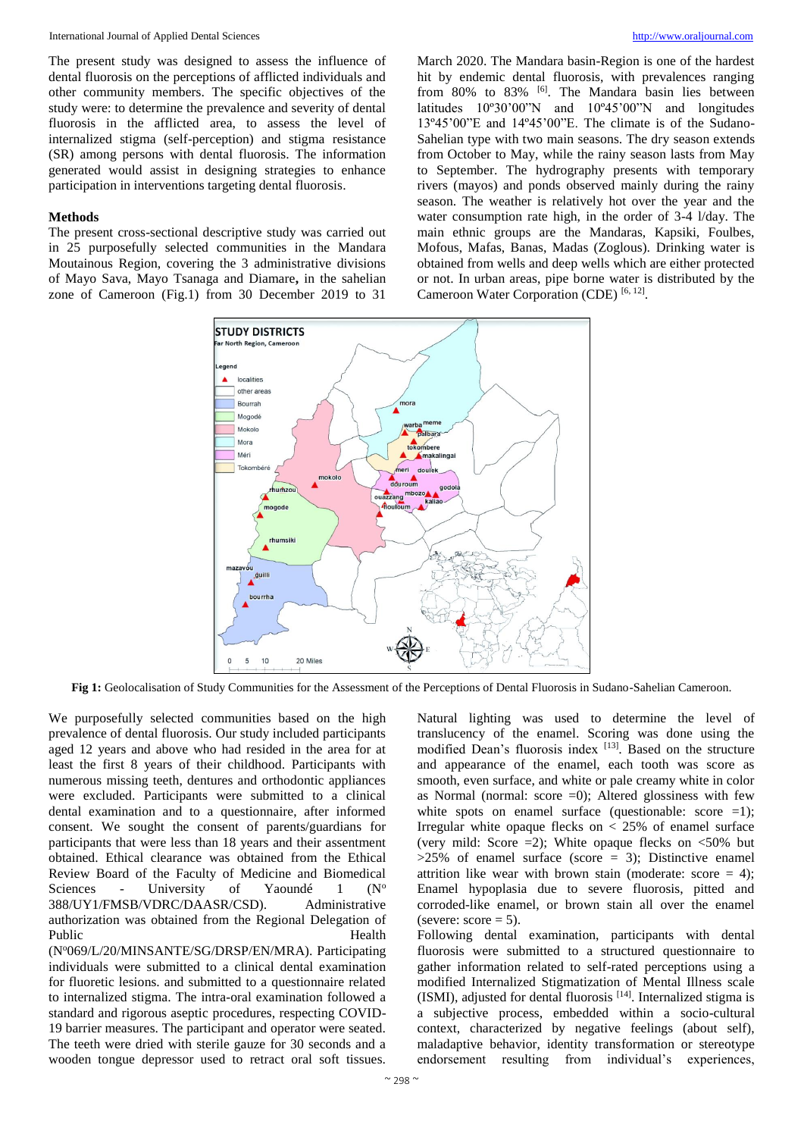The present study was designed to assess the influence of dental fluorosis on the perceptions of afflicted individuals and other community members. The specific objectives of the study were: to determine the prevalence and severity of dental fluorosis in the afflicted area, to assess the level of internalized stigma (self-perception) and stigma resistance (SR) among persons with dental fluorosis. The information generated would assist in designing strategies to enhance participation in interventions targeting dental fluorosis.

#### **Methods**

The present cross-sectional descriptive study was carried out in 25 purposefully selected communities in the Mandara Moutainous Region, covering the 3 administrative divisions of Mayo Sava, Mayo Tsanaga and Diamare**,** in the sahelian zone of Cameroon (Fig.1) from 30 December 2019 to 31

March 2020. The Mandara basin-Region is one of the hardest hit by endemic dental fluorosis, with prevalences ranging from 80% to 83% <sup>[6]</sup>. The Mandara basin lies between latitudes 10º30'00"N and 10º45'00"N and longitudes 13º45'00"E and 14º45'00"E. The climate is of the Sudano-Sahelian type with two main seasons. The dry season extends from October to May, while the rainy season lasts from May to September. The hydrography presents with temporary rivers (mayos) and ponds observed mainly during the rainy season. The weather is relatively hot over the year and the water consumption rate high, in the order of 3-4 l/day. The main ethnic groups are the Mandaras, Kapsiki, Foulbes, Mofous, Mafas, Banas, Madas (Zoglous). Drinking water is obtained from wells and deep wells which are either protected or not. In urban areas, pipe borne water is distributed by the Cameroon Water Corporation (CDE)<sup>[6,12]</sup>.



**Fig 1:** Geolocalisation of Study Communities for the Assessment of the Perceptions of Dental Fluorosis in Sudano-Sahelian Cameroon.

We purposefully selected communities based on the high prevalence of dental fluorosis. Our study included participants aged 12 years and above who had resided in the area for at least the first 8 years of their childhood. Participants with numerous missing teeth, dentures and orthodontic appliances were excluded. Participants were submitted to a clinical dental examination and to a questionnaire, after informed consent. We sought the consent of parents/guardians for participants that were less than 18 years and their assentment obtained. Ethical clearance was obtained from the Ethical Review Board of the Faculty of Medicine and Biomedical Sciences - University of Yaoundé 1 ( $N<sup>o</sup>$ 388/UY1/FMSB/VDRC/DAASR/CSD). Administrative authorization was obtained from the Regional Delegation of Public Health

(N<sup>o</sup>069/L/20/MINSANTE/SG/DRSP/EN/MRA). Participating individuals were submitted to a clinical dental examination for fluoretic lesions. and submitted to a questionnaire related to internalized stigma. The intra-oral examination followed a standard and rigorous aseptic procedures, respecting COVID-19 barrier measures. The participant and operator were seated. The teeth were dried with sterile gauze for 30 seconds and a wooden tongue depressor used to retract oral soft tissues.

Natural lighting was used to determine the level of translucency of the enamel. Scoring was done using the modified Dean's fluorosis index [13]. Based on the structure and appearance of the enamel, each tooth was score as smooth, even surface, and white or pale creamy white in color as Normal (normal: score  $=0$ ): Altered glossiness with few white spots on enamel surface (questionable: score  $=1$ ); Irregular white opaque flecks on  $\langle 25\% \rangle$  of enamel surface (very mild: Score  $=2$ ); White opaque flecks on  $\lt 50\%$  but  $>25\%$  of enamel surface (score = 3); Distinctive enamel attrition like wear with brown stain (moderate: score  $= 4$ ); Enamel hypoplasia due to severe fluorosis, pitted and corroded-like enamel, or brown stain all over the enamel (severe:  $score = 5$ ).

Following dental examination, participants with dental fluorosis were submitted to a structured questionnaire to gather information related to self-rated perceptions using a modified Internalized Stigmatization of Mental Illness scale (ISMI), adjusted for dental fluorosis [14]. Internalized stigma is a subjective process, embedded within a socio-cultural context, characterized by negative feelings (about self), maladaptive behavior, identity transformation or stereotype endorsement resulting from individual's experiences,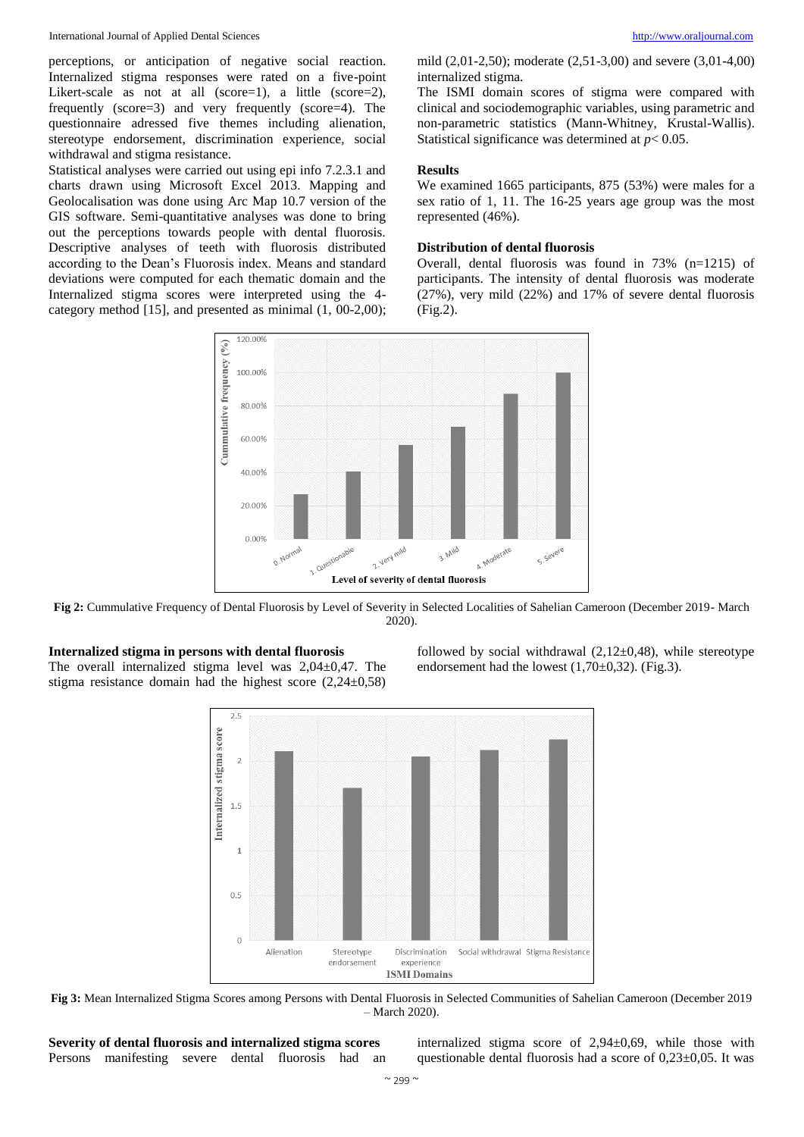perceptions, or anticipation of negative social reaction. Internalized stigma responses were rated on a five-point Likert-scale as not at all (score=1), a little (score=2), frequently (score=3) and very frequently (score=4). The questionnaire adressed five themes including alienation, stereotype endorsement, discrimination experience, social withdrawal and stigma resistance.

Statistical analyses were carried out using epi info 7.2.3.1 and charts drawn using Microsoft Excel 2013. Mapping and Geolocalisation was done using Arc Map 10.7 version of the GIS software. Semi-quantitative analyses was done to bring out the perceptions towards people with dental fluorosis. Descriptive analyses of teeth with fluorosis distributed according to the Dean's Fluorosis index. Means and standard deviations were computed for each thematic domain and the Internalized stigma scores were interpreted using the 4 category method [15], and presented as minimal (1, 00-2,00);

mild (2,01-2,50); moderate (2,51-3,00) and severe (3,01-4,00) internalized stigma.

The ISMI domain scores of stigma were compared with clinical and sociodemographic variables, using parametric and non-parametric statistics (Mann-Whitney, Krustal-Wallis). Statistical significance was determined at *p*< 0.05.

#### **Results**

We examined 1665 participants, 875 (53%) were males for a sex ratio of 1, 11. The 16-25 years age group was the most represented (46%).

#### **Distribution of dental fluorosis**

Overall, dental fluorosis was found in 73% (n=1215) of participants. The intensity of dental fluorosis was moderate (27%), very mild (22%) and 17% of severe dental fluorosis (Fig.2).



**Fig 2:** Cummulative Frequency of Dental Fluorosis by Level of Severity in Selected Localities of Sahelian Cameroon (December 2019- March 2020).

#### **Internalized stigma in persons with dental fluorosis** The overall internalized stigma level was 2,04±0,47. The stigma resistance domain had the highest score (2,24±0,58)

followed by social withdrawal  $(2,12\pm0,48)$ , while stereotype endorsement had the lowest  $(1,70\pm0,32)$ . (Fig.3).



**Fig 3:** Mean Internalized Stigma Scores among Persons with Dental Fluorosis in Selected Communities of Sahelian Cameroon (December 2019 – March 2020).

| Severity of dental fluorosis and internalized stigma scores |  |  |  |
|-------------------------------------------------------------|--|--|--|
| Persons manifesting severe dental fluorosis had an          |  |  |  |

internalized stigma score of 2,94±0,69, while those with questionable dental fluorosis had a score of 0,23±0,05. It was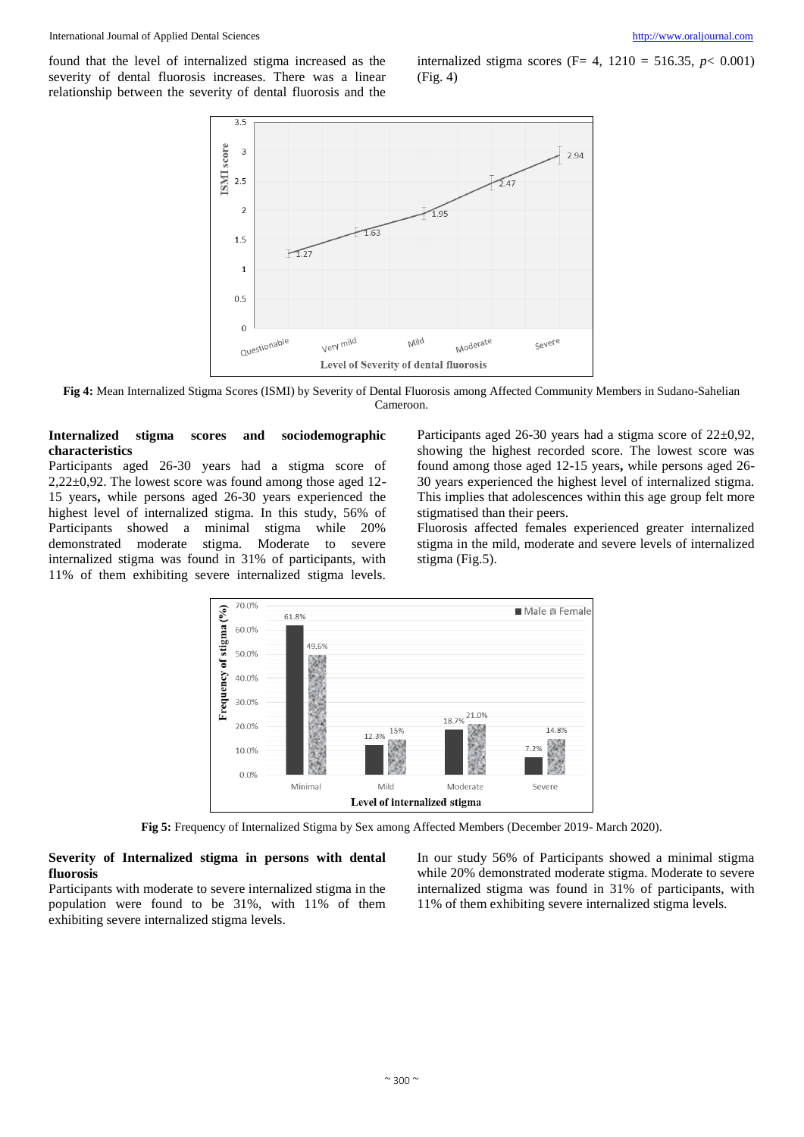found that the level of internalized stigma increased as the severity of dental fluorosis increases. There was a linear relationship between the severity of dental fluorosis and the

internalized stigma scores (F= 4,  $1210 = 516.35, p < 0.001$ ) (Fig. 4)



**Fig 4:** Mean Internalized Stigma Scores (ISMI) by Severity of Dental Fluorosis among Affected Community Members in Sudano-Sahelian Cameroon.

#### **Internalized stigma scores and sociodemographic characteristics**

Participants aged 26-30 years had a stigma score of 2,22±0,92. The lowest score was found among those aged 12- 15 years**,** while persons aged 26-30 years experienced the highest level of internalized stigma. In this study, 56% of Participants showed a minimal stigma while 20% demonstrated moderate stigma. Moderate to severe internalized stigma was found in 31% of participants, with 11% of them exhibiting severe internalized stigma levels.

Participants aged 26-30 years had a stigma score of 22±0,92, showing the highest recorded score. The lowest score was found among those aged 12-15 years**,** while persons aged 26- 30 years experienced the highest level of internalized stigma. This implies that adolescences within this age group felt more stigmatised than their peers.

Fluorosis affected females experienced greater internalized stigma in the mild, moderate and severe levels of internalized stigma (Fig.5).



**Fig 5:** Frequency of Internalized Stigma by Sex among Affected Members (December 2019- March 2020).

#### **Severity of Internalized stigma in persons with dental fluorosis**

Participants with moderate to severe internalized stigma in the population were found to be 31%, with 11% of them exhibiting severe internalized stigma levels.

In our study 56% of Participants showed a minimal stigma while 20% demonstrated moderate stigma. Moderate to severe internalized stigma was found in 31% of participants, with 11% of them exhibiting severe internalized stigma levels.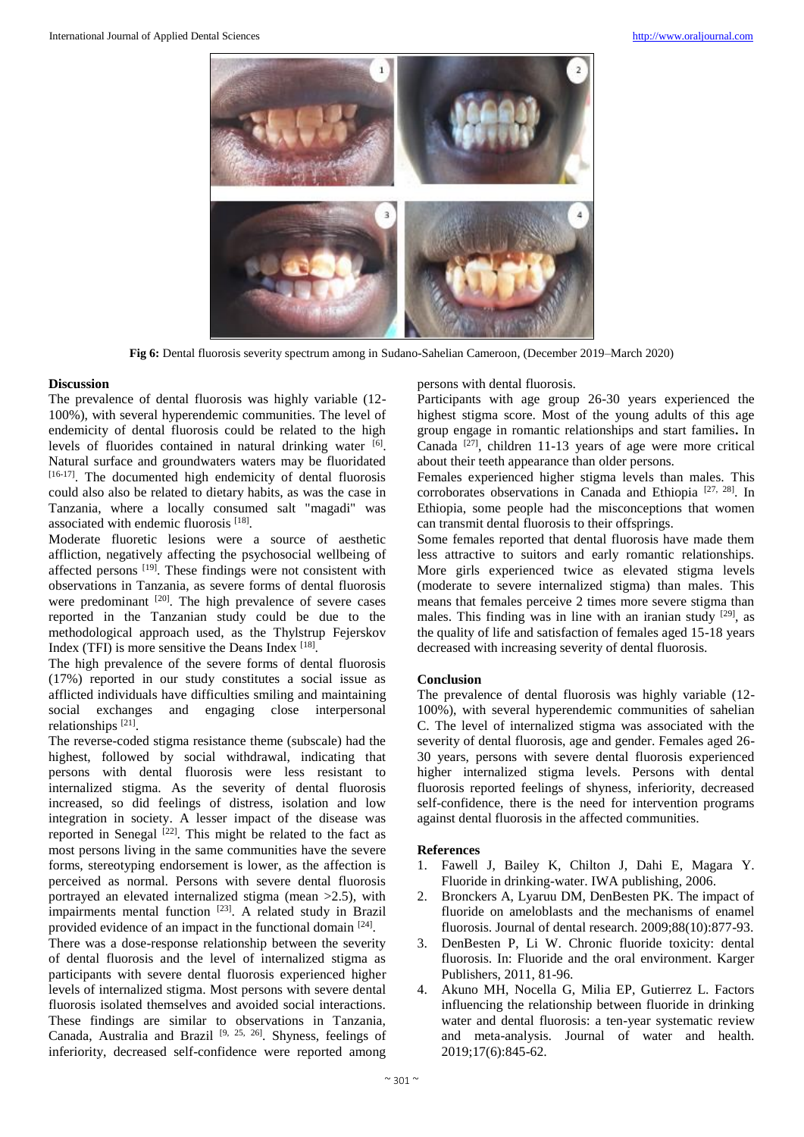

**Fig 6:** Dental fluorosis severity spectrum among in Sudano-Sahelian Cameroon, (December 2019–March 2020)

#### **Discussion**

The prevalence of dental fluorosis was highly variable (12- 100%), with several hyperendemic communities. The level of endemicity of dental fluorosis could be related to the high levels of fluorides contained in natural drinking water [6]. Natural surface and groundwaters waters may be fluoridated [16-17]. The documented high endemicity of dental fluorosis could also also be related to dietary habits, as was the case in Tanzania, where a locally consumed salt "magadi" was associated with endemic fluorosis<sup>[18]</sup>.

Moderate fluoretic lesions were a source of aesthetic affliction, negatively affecting the psychosocial wellbeing of affected persons [19]. These findings were not consistent with observations in Tanzania, as severe forms of dental fluorosis were predominant <sup>[20]</sup>. The high prevalence of severe cases reported in the Tanzanian study could be due to the methodological approach used, as the Thylstrup Fejerskov Index (TFI) is more sensitive the Deans Index  $[18]$ .

The high prevalence of the severe forms of dental fluorosis (17%) reported in our study constitutes a social issue as afflicted individuals have difficulties smiling and maintaining social exchanges and engaging close interpersonal relationships<sup>[21]</sup>.

The reverse-coded stigma resistance theme (subscale) had the highest, followed by social withdrawal, indicating that persons with dental fluorosis were less resistant to internalized stigma. As the severity of dental fluorosis increased, so did feelings of distress, isolation and low integration in society. A lesser impact of the disease was reported in Senegal [22]. This might be related to the fact as most persons living in the same communities have the severe forms, stereotyping endorsement is lower, as the affection is perceived as normal. Persons with severe dental fluorosis portrayed an elevated internalized stigma (mean >2.5), with impairments mental function <sup>[23]</sup>. A related study in Brazil provided evidence of an impact in the functional domain [24].

There was a dose-response relationship between the severity of dental fluorosis and the level of internalized stigma as participants with severe dental fluorosis experienced higher levels of internalized stigma. Most persons with severe dental fluorosis isolated themselves and avoided social interactions. These findings are similar to observations in Tanzania, Canada, Australia and Brazil [9, 25, 26]. Shyness, feelings of inferiority, decreased self-confidence were reported among persons with dental fluorosis.

Participants with age group 26-30 years experienced the highest stigma score. Most of the young adults of this age group engage in romantic relationships and start families**.** In Canada  $^{[27]}$ , children 11-13 years of age were more critical about their teeth appearance than older persons.

Females experienced higher stigma levels than males. This corroborates observations in Canada and Ethiopia [27, 28]. In Ethiopia, some people had the misconceptions that women can transmit dental fluorosis to their offsprings.

Some females reported that dental fluorosis have made them less attractive to suitors and early romantic relationships. More girls experienced twice as elevated stigma levels (moderate to severe internalized stigma) than males. This means that females perceive 2 times more severe stigma than males. This finding was in line with an iranian study  $[29]$ , as the quality of life and satisfaction of females aged 15-18 years decreased with increasing severity of dental fluorosis.

#### **Conclusion**

The prevalence of dental fluorosis was highly variable (12- 100%), with several hyperendemic communities of sahelian C. The level of internalized stigma was associated with the severity of dental fluorosis, age and gender. Females aged 26- 30 years, persons with severe dental fluorosis experienced higher internalized stigma levels. Persons with dental fluorosis reported feelings of shyness, inferiority, decreased self-confidence, there is the need for intervention programs against dental fluorosis in the affected communities.

#### **References**

- 1. Fawell J, Bailey K, Chilton J, Dahi E, Magara Y. Fluoride in drinking-water. IWA publishing, 2006.
- 2. Bronckers A, Lyaruu DM, DenBesten PK. The impact of fluoride on ameloblasts and the mechanisms of enamel fluorosis. Journal of dental research. 2009;88(10):877-93.
- 3. DenBesten P, Li W. Chronic fluoride toxicity: dental fluorosis. In: Fluoride and the oral environment. Karger Publishers, 2011, 81-96.
- 4. Akuno MH, Nocella G, Milia EP, Gutierrez L. Factors influencing the relationship between fluoride in drinking water and dental fluorosis: a ten-year systematic review and meta-analysis. Journal of water and health. 2019;17(6):845-62.